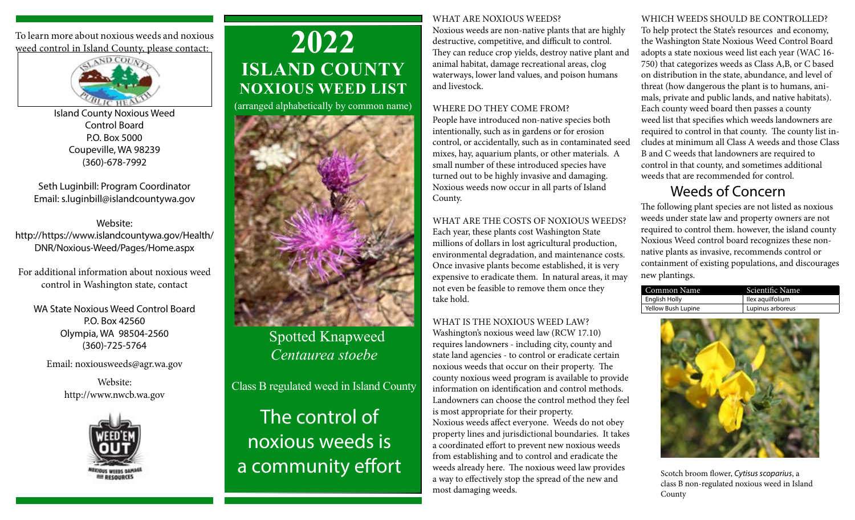To learn more about noxious weeds and noxious weed control in Island County, please contact:



Island County Noxious Weed Control Board P.O. Box 5000 Coupeville, WA 98239 (360)-678-7992

Seth Luginbill: Program Coordinator Email: s.luginbill@islandcountywa.gov

Website: http:// https://www.islandcountywa.gov/Health/ DNR/Noxious-Weed/Pages/Home.aspx

For additional information about noxious weed control in Washington state, contact

WA State Noxious Weed Control Board P.O. Box 42560 Olympia, WA 98504-2560 (360)-725-5764

Email: noxiousweeds@agr.wa.gov

Website: http://www.nwcb.wa.gov



# **2022 ISLAND COUNTY NOXIOUS WEED LIST**

(arranged alphabetically by common name)



 Spotted Knapweed *Centaurea stoebe* 

Class B regulated weed in Island County The control of noxious weeds is a community effort

#### WHAT ARE NOXIOUS WEEDS?

Noxious weeds are non-native plants that are highly destructive, competitive, and difficult to control. They can reduce crop yields, destroy native plant and animal habitat, damage recreational areas, clog waterways, lower land values, and poison humans and livestock.

#### WHERE DO THEY COME FROM?

People have introduced non-native species both intentionally, such as in gardens or for erosion control, or accidentally, such as in contaminated seed mixes, hay, aquarium plants, or other materials. A small number of these introduced species have turned out to be highly invasive and damaging. Noxious weeds now occur in all parts of Island County.

WHAT ARE THE COSTS OF NOXIOUS WEEDS? Each year, these plants cost Washington State millions of dollars in lost agricultural production, environmental degradation, and maintenance costs. Once invasive plants become established, it is very expensive to eradicate them. In natural areas, it may not even be feasible to remove them once they take hold.

WHAT IS THE NOXIOUS WEED LAW? Washington's noxious weed law (RCW 17.10) requires landowners - including city, county and state land agencies - to control or eradicate certain noxious weeds that occur on their property. The county noxious weed program is available to provide information on identification and control methods. Landowners can choose the control method they feel is most appropriate for their property. Noxious weeds affect everyone. Weeds do not obey property lines and jurisdictional boundaries. It takes a coordinated effort to prevent new noxious weeds from establishing and to control and eradicate the weeds already here. The noxious weed law provides a way to effectively stop the spread of the new and most damaging weeds.

#### WHICH WEEDS SHOULD BE CONTROLLED?

To help protect the State's resources and economy, the Washington State Noxious Weed Control Board adopts a state noxious weed list each year (WAC 16- 750) that categorizes weeds as Class A,B, or C based on distribution in the state, abundance, and level of threat (how dangerous the plant is to humans, animals, private and public lands, and native habitats). Each county weed board then passes a county weed list that specifies which weeds landowners are required to control in that county. The county list includes at minimum all Class A weeds and those Class B and C weeds that landowners are required to control in that county, and sometimes additional weeds that are recommended for control.

### Weeds of Concern

The following plant species are not listed as noxious weeds under state law and property owners are not required to control them. however, the island county Noxious Weed control board recognizes these nonnative plants as invasive, recommends control or containment of existing populations, and discourages new plantings.

| Common Name               | Scientific Name  |
|---------------------------|------------------|
| English Holly             | llex aquilfolium |
| <b>Yellow Bush Lupine</b> | Lupinus arboreus |



Scotch broom flower, *Cytisus scoparius*, a class B non-regulated noxious weed in Island County